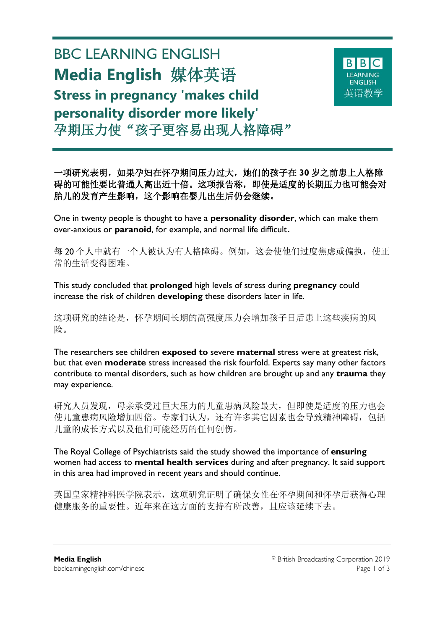



一项研究表明,如果孕妇在怀孕期间压力过大,她们的孩子在 **30** 岁之前患上人格障 碍的可能性要比普通人高出近十倍。这项报告称,即使是适度的长期压力也可能会对 胎儿的发育产生影响,这个影响在婴儿出生后仍会继续。

One in twenty people is thought to have a **personality disorder**, which can make them over-anxious or **paranoid**, for example, and normal life difficult.

每 20 个人中就有一个人被认为有人格障碍。例如, 这会使他们过度焦虑或偏执, 使正 常的生活变得困难。

This study concluded that **prolonged** high levels of stress during **pregnancy** could increase the risk of children **developing** these disorders later in life.

这项研究的结论是,怀孕期间长期的高强度压力会增加孩子日后患上这些疾病的风 险。

The researchers see children **exposed to** severe **maternal** stress were at greatest risk, but that even **moderate** stress increased the risk fourfold. Experts say many other factors contribute to mental disorders, such as how children are brought up and any **trauma** they may experience.

研究人员发现, 母亲承受过巨大压力的儿童患病风险最大, 但即使是适度的压力也会 使儿童患病风险增加四倍。专家们认为,还有许多其它因素也会导致精神障碍,包括 儿童的成长方式以及他们可能经历的任何创伤。

The Royal College of Psychiatrists said the study showed the importance of **ensuring** women had access to **mental health services** during and after pregnancy. It said support in this area had improved in recent years and should continue.

英国皇家精神科医学院表示,这项研究证明了确保女性在怀孕期间和怀孕后获得心理 健康服务的重要性。近年来在这方面的支持有所改善,且应该延续下去。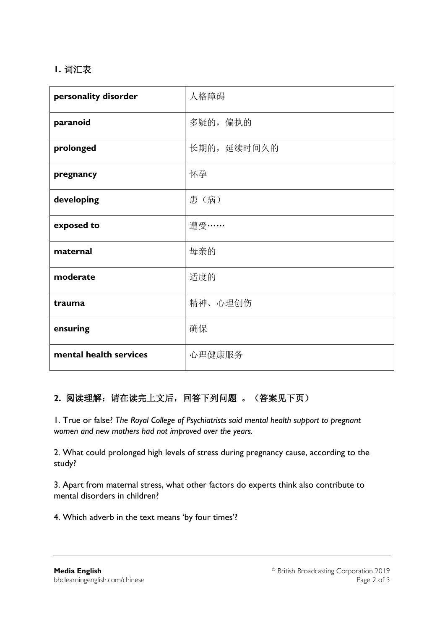# **1.** 词汇表

| personality disorder   | 人格障碍        |
|------------------------|-------------|
| paranoid               | 多疑的, 偏执的    |
| prolonged              | 长期的, 延续时间久的 |
| pregnancy              | 怀孕          |
| developing             | 患(病)        |
| exposed to             | 遭受……        |
| maternal               | 母亲的         |
| moderate               | 适度的         |
| trauma                 | 精神、心理创伤     |
| ensuring               | 确保          |
| mental health services | 心理健康服务      |

# **2.** 阅读理解:请在读完上文后,回答下列问题 。(答案见下页)

1. True or false? *The Royal College of Psychiatrists said mental health support to pregnant women and new mothers had not improved over the years.*

2. What could prolonged high levels of stress during pregnancy cause, according to the study?

3. Apart from maternal stress, what other factors do experts think also contribute to mental disorders in children?

4. Which adverb in the text means 'by four times'?